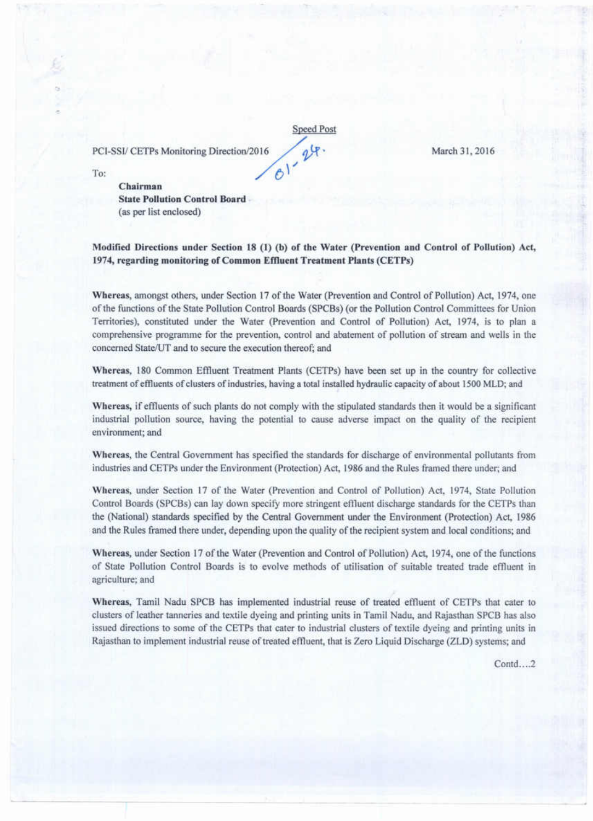Speed Post

PCI-SSI/ CETPs Monitoring Direction/2016 24 PCI-SSI/ CETPs Monitoring Direction/2016<br>To:  $61'$ 

March 31, 2016

Chairman State Pollution Control Board (as per list enclosed)

Modified Directions under Section 18 (1) (b) of the Water (Prevention and Control of Pollution) Act, 1974, regarding monitoring of Common Etlluent Treatment Plants (CETPs)

Whereas, amongst others, under Section 17 of the Water (Prevention and Control of Pollution) Act, 1974, one of the functions of the State Pollution Control Boards (SPCBs) (or the Pollution Control Committees for Union Territories), constituted under the Water (prevention and Control of Pollution) Act, 1974, is to plan a comprehensive programme for the prevention, control and abatement of pollution of stream and wells in the concerned State/U'T and to secure the execution thereof; and

Whereas, 180 Common Effluent Treatment Plants (CETPs) have been set up in the country for collective treatment of effiuents of clusters of industries, having a total installed hydraulic capacity of about 1500MLD; and

Whereas, if effluents of such plants do not comply with the stipulated standards then it would be a significant industrial pollution source, having the potential to cause adverse impact on the quality of the recipient environment; and

Whereas, the Central Government has specified the standards for discharge of environmental pollutants from industries and CETPs under the Environment (Protection) Act, 1986 and the Rules framed there under; and

Whereas, under Section 17 of the Water (Prevention and Control of Pollution) Act, 1974, State Pollution Control Boards (SPCBs) can lay down specify more stringent effluent discharge standards for the CETPs than the (National) standards specified by the Central Government under the Environment (Protection) Act, 1986 and the Rules framed there under, depending upon the quality of the recipient system and local conditions; and

Whereas, under Section 17 of the Water (Prevention and Control of Pollution) Act, 1974, one of the functions of State Pollution Control Boards is to evolve methods of utilisation of suitable treated trade effluent in agriculture; and

Whereas, Tamil Nadu SPCB has implemented industrial reuse of treated effluent of CETPs that cater to clusters of leather tanneries and textile dyeing and printing units in Tamil Nadu, and Rajasthan SPCB has also issued directions to some of the CETPs that cater to industrial clusters of textile dyeing and printing units in Rajasthan to implement industrial reuse of treated effluent, that is Zero Liquid Discharge (ZLD) systems; and

Contd....2

-- ~---~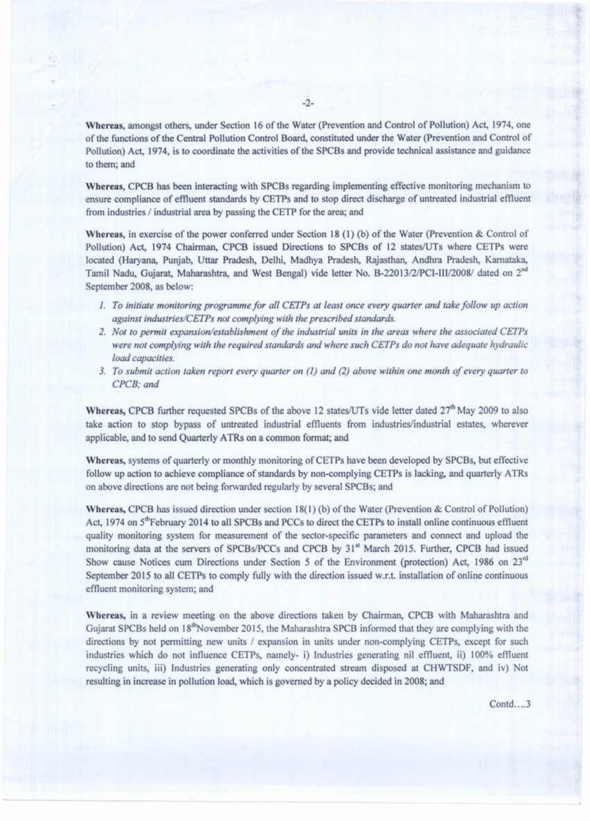Whereas, amongst others, under Section 16 of the Water (Prevention and Control of Pollution) Act, 1974, one of the functions of the Central Pollution Control Board, constituted under the Water (Prevention and Control of Pollution) Act, 1974, is to coordinate the activities of the SPCBs and provide technical assistance and guidance to them; and

Whereas, CPCB has been interacting with SPCBs regarding implementing effective monitoring mechanism to ensure compliance of effluent standards by CETPs and to stop direct discharge of untreated industrial effluent from industries / industrial area by passing the CETP for the area; and

Whereas, in exercise of the power conferred under Section 18 (1) (b) of the Water (Prevention & Control of Pollution) Act, 1974 Chairman, CPCB issued Directions to SPCBs of 12 states/UTs where CETPs were located (Haryana, Punjab, Uttar Pradesh, Delhi, Madhya Pradesh, Rajasthan, Andhra Pradesh, Karnataka, Tamil Nadu, Gujarat, Maharashtra, and West Bengal) vide letter No. B-22013/2/PCI-III/2008/ dated on 2<sup>nd</sup> September 2008, as below:

- *1. To initiate monitoring programme for all CETPs at least once every quarter and takefollow up action against industries/CETPs not complying with the prescribed standards.*
- *2. Not to permit expansion/establishment of the industrial units in the areas where the associated CETPs were not complying with the required standards and where such CETPs do not have adequate hydraulic load capacities.*
- *3. To submit action taken report every quarter on* (1) *and* (2) *above within one month of every quarter to CPCE; and*

Whereas, CPCB further requested SPCBs of the above 12 states/UTs vide letter dated 27<sup>th</sup> May 2009 to also take action to stop bypass of untreated industrial effluents from industries/industrial estates, wherever applicable, and to send Quarterly ATRs on a common format; and

Whereas, systems of quarterly or monthly monitoring of CETPs have been developed by SPCBs, but effective follow up action to achieve compliance of standards by non-complying CETPs is lacking, and quarterly ATRs on above directions are not being forwarded regularly by several SPCBs; and

Whereas, CPCB has issued direction under section 18(1) (b) of the Water (Prevention & Control of Pollution) Act, 1974 on 5<sup>th</sup>February 2014 to all SPCBs and PCCs to direct the CETPs to install online continuous effluent quality monitoring system for measurement of the sector-specific parameters and connect and upload the monitoring data at the servers of SPCBs/PCCs and CPCB by 31<sup>st</sup> March 2015. Further, CPCB had issued Show cause Notices cum Directions under Section 5 of the Environment (protection) Act, 1986 on  $23<sup>nd</sup>$ September 2015 to all CETPs to comply fully with the direction issued w.r.t. installation of online continuous effluent monitoring system; and

Whereas, in a review meeting on the above directions taken by Chairman, CPCB with Maharashtra and Gujarat SPCBs held on 18<sup>th</sup>November 2015, the Maharashtra SPCB informed that they are complying with the directions by not permitting new units / expansion in units under non-complying CETPs, except for such industries which do not influence CETPs, namely- i) Industries generating nil effluent, ii) 100% effluent recycling units, iii) Industries generating only concentrated stream disposed at CHWTSDF, and iv) Not resulting in increase in pollution load, which is governed by a policy decided in 2008; and

Contd...3

i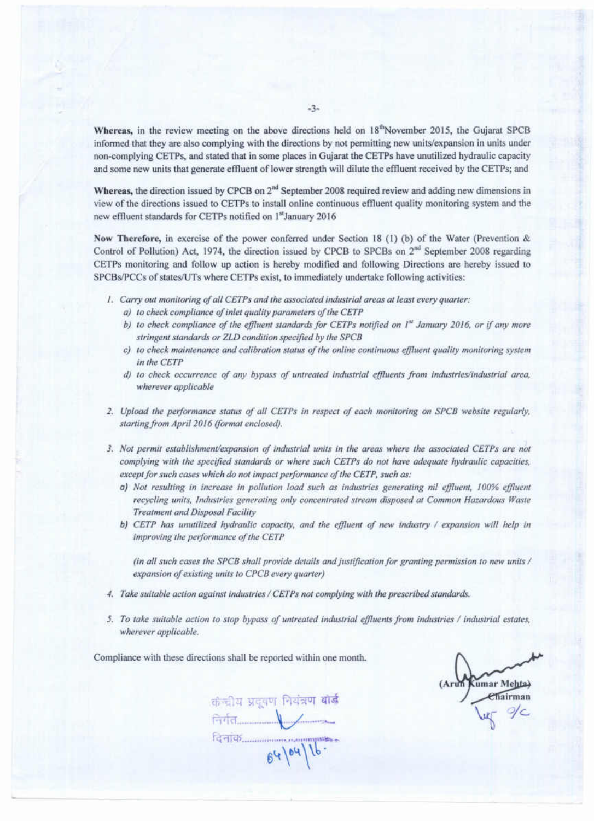Whereas, in the review meeting on the above directions held on  $18^{th}$ November 2015, the Gujarat SPCB informed that they are also complying with the directions by not permitting new units/expansion in units under non-complying CETPs, and stated that in some places in Gujarat the CETPs have unutilized hydraulic capacity and some new units that generate effluent of lower strength will dilute the effluent received by the CETPs; and

Whereas, the direction issued by CPCB on  $2<sup>nd</sup>$  September 2008 required review and adding new dimensions in view of the directions issued to CETPs to install online continuous effluent quality monitoring system and the new effluent standards for CETPs notified on 1"January 2016

Now Therefore, in exercise of the power conferred under Section 18 (1) (b) of the Water (Prevention & Control of Pollution) Act, 1974, the direction issued by CPCB to SPCBs on 2<sup>nd</sup> September 2008 regarding CETPs monitoring and follow up action is hereby modified and following Directions are hereby issued to SPCBslPCCs of states/UTs where CETPs exist, to immediately undertake following activities:

- *1. Carry out monitoring of all CETPs and the associated industrial areas at least every quarter:*
	- *a) to check compliance of inlet quality parameters of the CETP*
	- *b) to check compliance of the effluent standards for CETPs notified on ]'1 January 2016, or if any more stringent standards or ZLD condition specified by the SPCB*
	- *c) to check maintenance and calibration status of the online continuous effluent quality monitoring system in the CETP*
	- *d) to check occurrence of any bypass of untreated industrial effluents from industries/industrial area, wherever applicable*
- *2. Upload the performance status of all CETPs in respect of each monitoring on SPCB website regularly, startingfrom April 2016 (format enclosed).*
- *3. Not permit establishment/expansion of industrial units* in *the areas where the associated CETPs are not complying with the specified standards or where such CETPs do not have adequate hydraulic capacities,* except for such cases which do not impact performance of the CETP, such as:
	- *a) Not resulting in increase in pollution load such as industries generating nil effluent, 100% ejjluent recycling units, Industries generating only concentrated stream disposed at Common Hazardous Waste Treatment and Disposal Facility*
	- *b) CETP has unutilized hydraulic capacity, and the effluent of new industry / expansion will help in improving the performance of the CETP*

*(in all such cases the SPCB shall provide details and justification for granting permission to new units / expansion of existing units to CPCB every quarter)*

- *4. Take suitable action against industries / CETPs not complying with the prescribed standards.*
- *5. To take suitable action to stop bypass of untreated industrial effluents from industries / industrial estates, wherever applicable.*

Compliance with these directions shall be reported within one month.

केन्द्रीय प्रदूषण नियंत्रण बोर्ड  $F = 1.4$ 

Kumar Mehta)<br>Chairman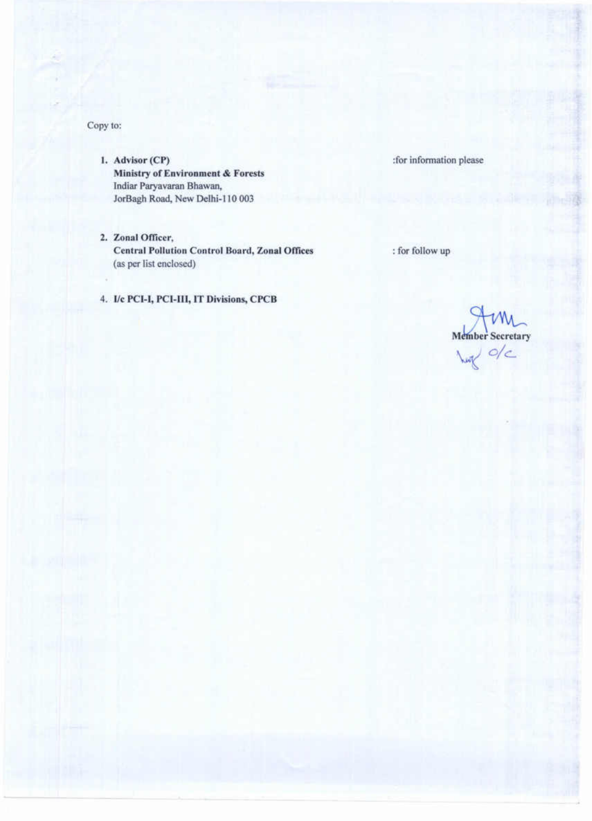### Copy to:

-'

- 1. Advisor (CP) Ministry of Environment & Forests Indiar Paryavaran Bhawan, JorBagh Road, New Delhi-I 10 003
- 2. Zonal Officer, Central Pollution Control Board, Zonal Offices (as per list enclosed)

4. IIc PCI-I, PCI-III, **IT** Divisions, CPCB

:for information please

: for follow up

Member Secretary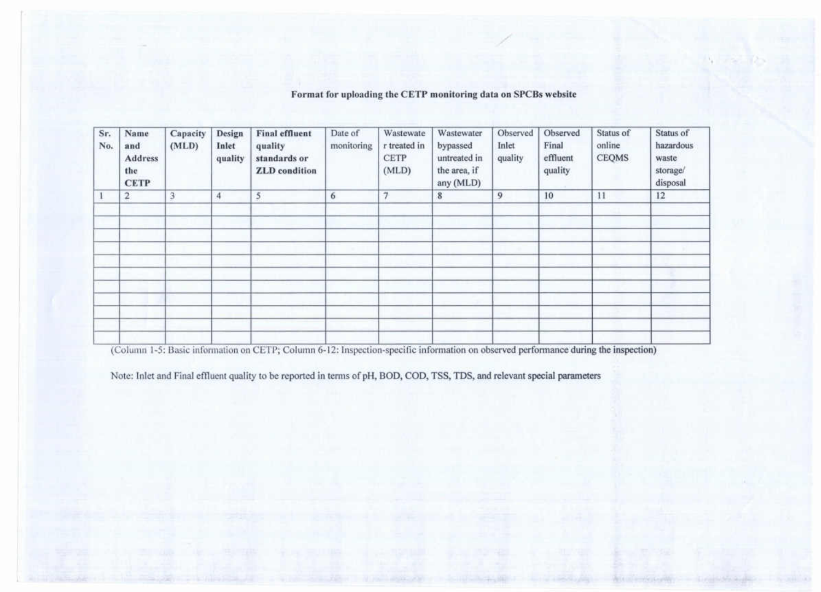| Sr.<br>No. | Name<br>and<br><b>Address</b><br>the<br><b>CETP</b> | Capacity<br>(MLD) | Design<br>Inlet<br>quality | <b>Final effluent</b><br>quality<br>standards or<br><b>ZLD</b> condition | Date of<br>monitoring | Wastewate<br>r treated in<br><b>CETP</b><br>(MLD) | Wastewater<br>bypassed<br>untreated in<br>the area, if<br>any (MLD) | Observed<br>Inlet<br>quality | Observed<br>Final<br>effluent<br>quality | Status of<br>online<br><b>CEQMS</b> | Status of<br>hazardous<br>waste<br>storage/<br>disposal |
|------------|-----------------------------------------------------|-------------------|----------------------------|--------------------------------------------------------------------------|-----------------------|---------------------------------------------------|---------------------------------------------------------------------|------------------------------|------------------------------------------|-------------------------------------|---------------------------------------------------------|
|            | $\overline{c}$                                      | $\overline{3}$    | 4                          | 5                                                                        | 6                     | $\tau$                                            | $\bf 8$                                                             | 9                            | 10                                       | 11                                  | 12                                                      |
|            |                                                     |                   |                            |                                                                          |                       |                                                   |                                                                     |                              |                                          |                                     |                                                         |
|            |                                                     |                   |                            |                                                                          |                       |                                                   |                                                                     |                              |                                          |                                     |                                                         |
|            |                                                     |                   |                            |                                                                          |                       |                                                   |                                                                     |                              |                                          |                                     |                                                         |
|            |                                                     |                   |                            |                                                                          |                       |                                                   |                                                                     |                              |                                          |                                     |                                                         |
|            |                                                     |                   |                            |                                                                          |                       |                                                   |                                                                     |                              |                                          |                                     |                                                         |
|            |                                                     |                   |                            |                                                                          |                       |                                                   |                                                                     |                              |                                          |                                     |                                                         |
|            |                                                     |                   |                            |                                                                          |                       |                                                   |                                                                     |                              |                                          |                                     |                                                         |
|            |                                                     |                   |                            |                                                                          |                       |                                                   |                                                                     |                              |                                          |                                     |                                                         |

## Format for uploading the CETP monitoring data on SPCBs website

*.:*

,

*, •• r\*

(Column 1-5: Basic information on CETP; Column 6-12: Inspection-specific information on observed performance during the inspection)

Note: Inlet and Final effluent quality to be reported in terms of pH, BOD, COD, TSS, TDS, and relevant special parameters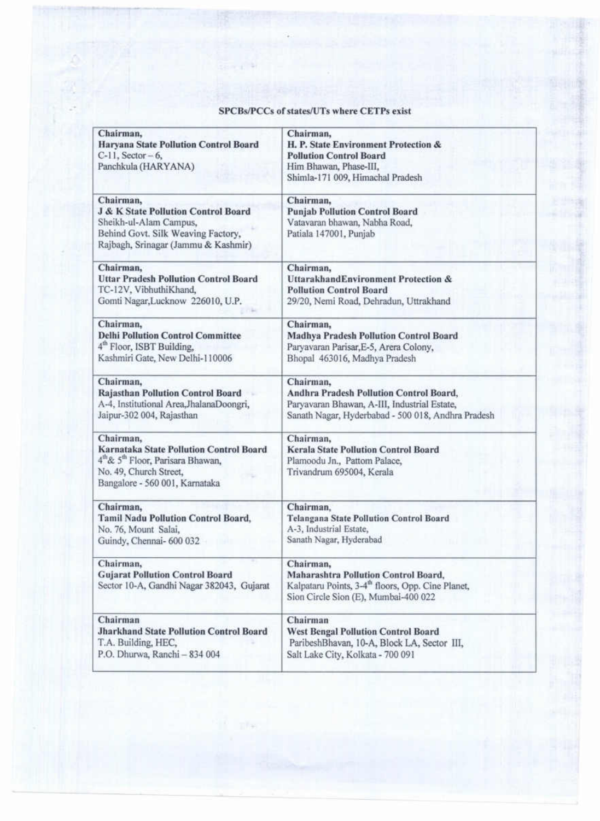# SPCBs/PCCs of states/UTs where CETPs exist

| Chairman,<br>Haryana State Pollution Control Board<br>$C-11$ , Sector - 6,<br>Panchkula (HARYANA)                                                                             | Chairman,<br>H. P. State Environment Protection &<br><b>Pollution Control Board</b><br>Him Bhawan, Phase-III,<br>Shimla-171 009, Himachal Pradesh          |
|-------------------------------------------------------------------------------------------------------------------------------------------------------------------------------|------------------------------------------------------------------------------------------------------------------------------------------------------------|
| Chairman,<br><b>J &amp; K State Pollution Control Board</b><br>Sheikh-ul-Alam Campus,<br>Behind Govt. Silk Weaving Factory,<br>Rajbagh, Srinagar (Jammu & Kashmir)            | Chairman,<br><b>Punjab Pollution Control Board</b><br>Vatavaran bhawan, Nabha Road,<br>Patiala 147001, Punjab                                              |
| Chairman,                                                                                                                                                                     | Chairman,                                                                                                                                                  |
| <b>Uttar Pradesh Pollution Control Board</b>                                                                                                                                  | UttarakhandEnvironment Protection &                                                                                                                        |
| TC-12V, VibhuthiKhand,                                                                                                                                                        | <b>Pollution Control Board</b>                                                                                                                             |
| Gomti Nagar, Lucknow 226010, U.P.                                                                                                                                             | 29/20, Nemi Road, Dehradun, Uttrakhand                                                                                                                     |
| Chairman,                                                                                                                                                                     | Chairman,                                                                                                                                                  |
| <b>Delhi Pollution Control Committee</b>                                                                                                                                      | Madhya Pradesh Pollution Control Board                                                                                                                     |
| 4 <sup>th</sup> Floor, ISBT Building,                                                                                                                                         | Paryavaran Parisar, E-5, Arera Colony,                                                                                                                     |
| Kashmiri Gate, New Delhi-110006                                                                                                                                               | Bhopal 463016, Madhya Pradesh                                                                                                                              |
| Chairman,                                                                                                                                                                     | Chairman,                                                                                                                                                  |
| <b>Rajasthan Pollution Control Board</b>                                                                                                                                      | Andhra Pradesh Pollution Control Board,                                                                                                                    |
| A-4, Institutional Area, JhalanaDoongri,                                                                                                                                      | Paryavaran Bhawan, A-III, Industrial Estate,                                                                                                               |
| Jaipur-302 004, Rajasthan                                                                                                                                                     | Sanath Nagar, Hyderbabad - 500 018, Andhra Pradesh                                                                                                         |
| Chairman,<br>Karnataka State Pollution Control Board<br>4 <sup>th</sup> & 5 <sup>th</sup> Floor, Parisara Bhawan,<br>No. 49, Church Street,<br>Bangalore - 560 001, Karnataka | Chairman,<br><b>Kerala State Pollution Control Board</b><br>Plamoodu Jn., Pattom Palace,<br>Trivandrum 695004, Kerala                                      |
| Chairman,                                                                                                                                                                     | Chairman,                                                                                                                                                  |
| Tamil Nadu Pollution Control Board,                                                                                                                                           | <b>Telangana State Pollution Control Board</b>                                                                                                             |
| No. 76, Mount Salai,                                                                                                                                                          | A-3, Industrial Estate,                                                                                                                                    |
| Guindy, Chennai- 600 032                                                                                                                                                      | Sanath Nagar, Hyderabad                                                                                                                                    |
| Chairman,<br><b>Gujarat Pollution Control Board</b><br>Sector 10-A, Gandhi Nagar 382043, Gujarat                                                                              | Chairman,<br>Maharashtra Pollution Control Board,<br>Kalpataru Points, 3-4 <sup>th</sup> floors, Opp. Cine Planet,<br>Sion Circle Sion (E), Mumbai-400 022 |
| Chairman                                                                                                                                                                      | Chairman                                                                                                                                                   |
| <b>Jharkhand State Pollution Control Board</b>                                                                                                                                | <b>West Bengal Pollution Control Board</b>                                                                                                                 |
| T.A. Building, HEC,                                                                                                                                                           | ParibeshBhavan, 10-A, Block LA, Sector III,                                                                                                                |
| P.O. Dhurwa, Ranchi - 834 004                                                                                                                                                 | Salt Lake City, Kolkata - 700 091                                                                                                                          |